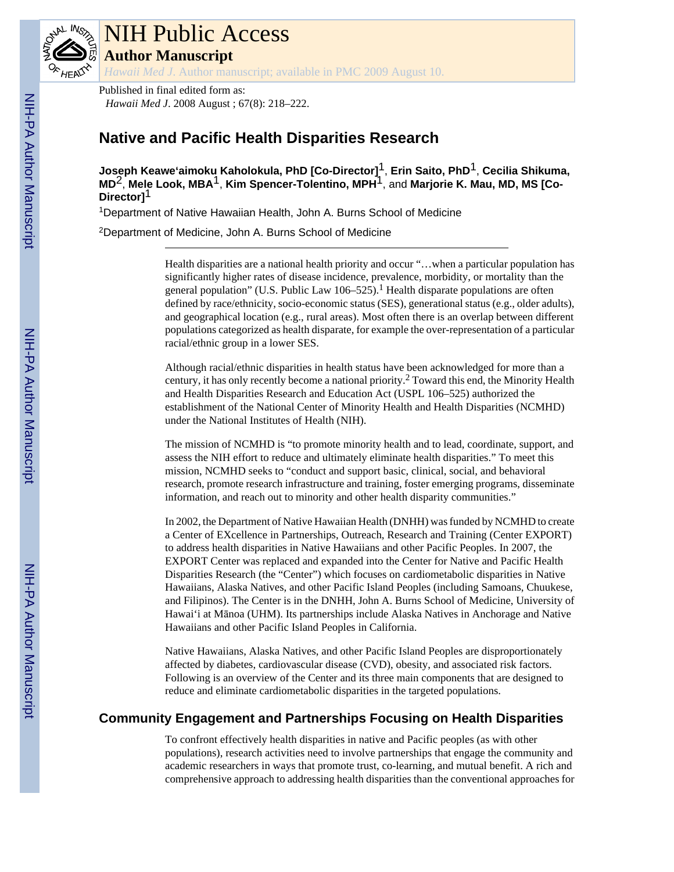

# NIH Public Access

**Author Manuscript**

*Hawaii Med J*. Author manuscript; available in PMC 2009 August 10.

Published in final edited form as: *Hawaii Med J*. 2008 August ; 67(8): 218–222.

# **Native and Pacific Health Disparities Research**

**Joseph Keawe'aimoku Kaholokula, PhD [Co-Director]**1, **Erin Saito, PhD**1, **Cecilia Shikuma, MD**2, **Mele Look, MBA**1, **Kim Spencer-Tolentino, MPH**1, and **Marjorie K. Mau, MD, MS [Co-Director]**1

<sup>1</sup>Department of Native Hawaiian Health, John A. Burns School of Medicine

<sup>2</sup>Department of Medicine, John A. Burns School of Medicine

Health disparities are a national health priority and occur "…when a particular population has significantly higher rates of disease incidence, prevalence, morbidity, or mortality than the general population" (U.S. Public Law  $106-525$ ).<sup>1</sup> Health disparate populations are often defined by race/ethnicity, socio-economic status (SES), generational status (e.g., older adults), and geographical location (e.g., rural areas). Most often there is an overlap between different populations categorized as health disparate, for example the over-representation of a particular racial/ethnic group in a lower SES.

Although racial/ethnic disparities in health status have been acknowledged for more than a century, it has only recently become a national priority.<sup>2</sup> Toward this end, the Minority Health and Health Disparities Research and Education Act (USPL 106–525) authorized the establishment of the National Center of Minority Health and Health Disparities (NCMHD) under the National Institutes of Health (NIH).

The mission of NCMHD is "to promote minority health and to lead, coordinate, support, and assess the NIH effort to reduce and ultimately eliminate health disparities." To meet this mission, NCMHD seeks to "conduct and support basic, clinical, social, and behavioral research, promote research infrastructure and training, foster emerging programs, disseminate information, and reach out to minority and other health disparity communities."

In 2002, the Department of Native Hawaiian Health (DNHH) was funded by NCMHD to create a Center of EXcellence in Partnerships, Outreach, Research and Training (Center EXPORT) to address health disparities in Native Hawaiians and other Pacific Peoples. In 2007, the EXPORT Center was replaced and expanded into the Center for Native and Pacific Health Disparities Research (the "Center") which focuses on cardiometabolic disparities in Native Hawaiians, Alaska Natives, and other Pacific Island Peoples (including Samoans, Chuukese, and Filipinos). The Center is in the DNHH, John A. Burns School of Medicine, University of Hawai'i at Mānoa (UHM). Its partnerships include Alaska Natives in Anchorage and Native Hawaiians and other Pacific Island Peoples in California.

Native Hawaiians, Alaska Natives, and other Pacific Island Peoples are disproportionately affected by diabetes, cardiovascular disease (CVD), obesity, and associated risk factors. Following is an overview of the Center and its three main components that are designed to reduce and eliminate cardiometabolic disparities in the targeted populations.

## **Community Engagement and Partnerships Focusing on Health Disparities**

To confront effectively health disparities in native and Pacific peoples (as with other populations), research activities need to involve partnerships that engage the community and academic researchers in ways that promote trust, co-learning, and mutual benefit. A rich and comprehensive approach to addressing health disparities than the conventional approaches for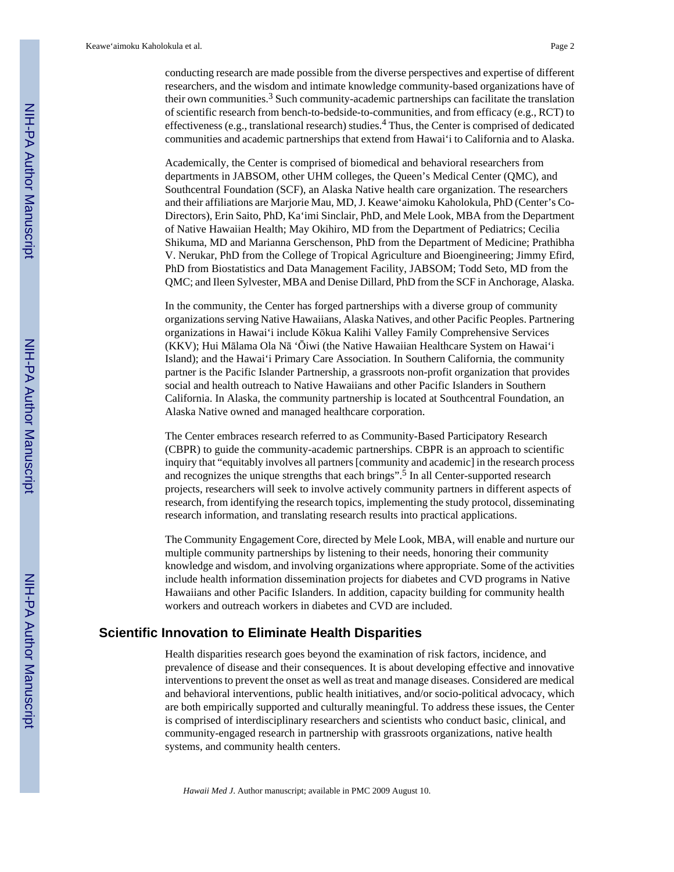conducting research are made possible from the diverse perspectives and expertise of different researchers, and the wisdom and intimate knowledge community-based organizations have of their own communities.<sup>3</sup> Such community-academic partnerships can facilitate the translation of scientific research from bench-to-bedside-to-communities, and from efficacy (e.g., RCT) to effectiveness (e.g., translational research) studies.<sup>4</sup> Thus, the Center is comprised of dedicated communities and academic partnerships that extend from Hawai'i to California and to Alaska.

Academically, the Center is comprised of biomedical and behavioral researchers from departments in JABSOM, other UHM colleges, the Queen's Medical Center (QMC), and Southcentral Foundation (SCF), an Alaska Native health care organization. The researchers and their affiliations are Marjorie Mau, MD, J. Keawe'aimoku Kaholokula, PhD (Center's Co-Directors), Erin Saito, PhD, Ka'imi Sinclair, PhD, and Mele Look, MBA from the Department of Native Hawaiian Health; May Okihiro, MD from the Department of Pediatrics; Cecilia Shikuma, MD and Marianna Gerschenson, PhD from the Department of Medicine; Prathibha V. Nerukar, PhD from the College of Tropical Agriculture and Bioengineering; Jimmy Efird, PhD from Biostatistics and Data Management Facility, JABSOM; Todd Seto, MD from the QMC; and Ileen Sylvester, MBA and Denise Dillard, PhD from the SCF in Anchorage, Alaska.

In the community, the Center has forged partnerships with a diverse group of community organizations serving Native Hawaiians, Alaska Natives, and other Pacific Peoples. Partnering organizations in Hawai'i include Kōkua Kalihi Valley Family Comprehensive Services (KKV); Hui Mālama Ola Nā 'Ōiwi (the Native Hawaiian Healthcare System on Hawai'i Island); and the Hawai'i Primary Care Association. In Southern California, the community partner is the Pacific Islander Partnership, a grassroots non-profit organization that provides social and health outreach to Native Hawaiians and other Pacific Islanders in Southern California. In Alaska, the community partnership is located at Southcentral Foundation, an Alaska Native owned and managed healthcare corporation.

The Center embraces research referred to as Community-Based Participatory Research (CBPR) to guide the community-academic partnerships. CBPR is an approach to scientific inquiry that "equitably involves all partners [community and academic] in the research process and recognizes the unique strengths that each brings".<sup>5</sup> In all Center-supported research projects, researchers will seek to involve actively community partners in different aspects of research, from identifying the research topics, implementing the study protocol, disseminating research information, and translating research results into practical applications.

The Community Engagement Core, directed by Mele Look, MBA, will enable and nurture our multiple community partnerships by listening to their needs, honoring their community knowledge and wisdom, and involving organizations where appropriate. Some of the activities include health information dissemination projects for diabetes and CVD programs in Native Hawaiians and other Pacific Islanders. In addition, capacity building for community health workers and outreach workers in diabetes and CVD are included.

## **Scientific Innovation to Eliminate Health Disparities**

Health disparities research goes beyond the examination of risk factors, incidence, and prevalence of disease and their consequences. It is about developing effective and innovative interventions to prevent the onset as well as treat and manage diseases. Considered are medical and behavioral interventions, public health initiatives, and/or socio-political advocacy, which are both empirically supported and culturally meaningful. To address these issues, the Center is comprised of interdisciplinary researchers and scientists who conduct basic, clinical, and community-engaged research in partnership with grassroots organizations, native health systems, and community health centers.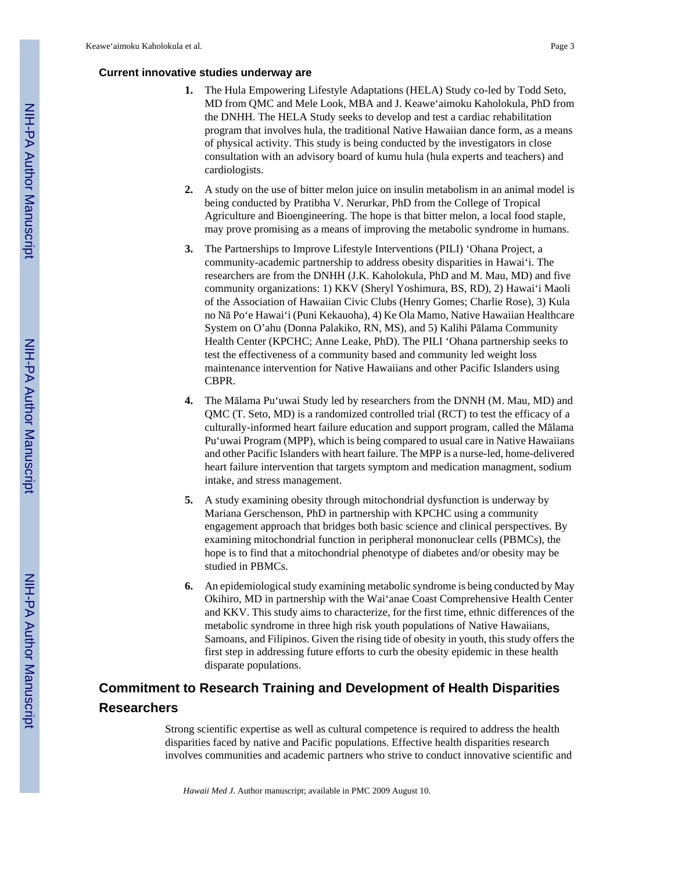#### **Current innovative studies underway are**

- **1.** The Hula Empowering Lifestyle Adaptations (HELA) Study co-led by Todd Seto, MD from QMC and Mele Look, MBA and J. Keawe'aimoku Kaholokula, PhD from the DNHH. The HELA Study seeks to develop and test a cardiac rehabilitation program that involves hula, the traditional Native Hawaiian dance form, as a means of physical activity. This study is being conducted by the investigators in close consultation with an advisory board of kumu hula (hula experts and teachers) and cardiologists.
- **2.** A study on the use of bitter melon juice on insulin metabolism in an animal model is being conducted by Pratibha V. Nerurkar, PhD from the College of Tropical Agriculture and Bioengineering. The hope is that bitter melon, a local food staple, may prove promising as a means of improving the metabolic syndrome in humans.
- **3.** The Partnerships to Improve Lifestyle Interventions (PILI) 'Ohana Project, a community-academic partnership to address obesity disparities in Hawai'i. The researchers are from the DNHH (J.K. Kaholokula, PhD and M. Mau, MD) and five community organizations: 1) KKV (Sheryl Yoshimura, BS, RD), 2) Hawai'i Maoli of the Association of Hawaiian Civic Clubs (Henry Gomes; Charlie Rose), 3) Kula no Nā Po'e Hawai'i (Puni Kekauoha), 4) Ke Ola Mamo, Native Hawaiian Healthcare System on O'ahu (Donna Palakiko, RN, MS), and 5) Kalihi Pālama Community Health Center (KPCHC; Anne Leake, PhD). The PILI 'Ohana partnership seeks to test the effectiveness of a community based and community led weight loss maintenance intervention for Native Hawaiians and other Pacific Islanders using CBPR.
- **4.** The Mālama Pu'uwai Study led by researchers from the DNNH (M. Mau, MD) and QMC (T. Seto, MD) is a randomized controlled trial (RCT) to test the efficacy of a culturally-informed heart failure education and support program, called the Mālama Pu'uwai Program (MPP), which is being compared to usual care in Native Hawaiians and other Pacific Islanders with heart failure. The MPP is a nurse-led, home-delivered heart failure intervention that targets symptom and medication managment, sodium intake, and stress management.
- **5.** A study examining obesity through mitochondrial dysfunction is underway by Mariana Gerschenson, PhD in partnership with KPCHC using a community engagement approach that bridges both basic science and clinical perspectives. By examining mitochondrial function in peripheral mononuclear cells (PBMCs), the hope is to find that a mitochondrial phenotype of diabetes and/or obesity may be studied in PBMCs.
- **6.** An epidemiological study examining metabolic syndrome is being conducted by May Okihiro, MD in partnership with the Wai'anae Coast Comprehensive Health Center and KKV. This study aims to characterize, for the first time, ethnic differences of the metabolic syndrome in three high risk youth populations of Native Hawaiians, Samoans, and Filipinos. Given the rising tide of obesity in youth, this study offers the first step in addressing future efforts to curb the obesity epidemic in these health disparate populations.

# **Commitment to Research Training and Development of Health Disparities Researchers**

Strong scientific expertise as well as cultural competence is required to address the health disparities faced by native and Pacific populations. Effective health disparities research involves communities and academic partners who strive to conduct innovative scientific and

*Hawaii Med J*. Author manuscript; available in PMC 2009 August 10.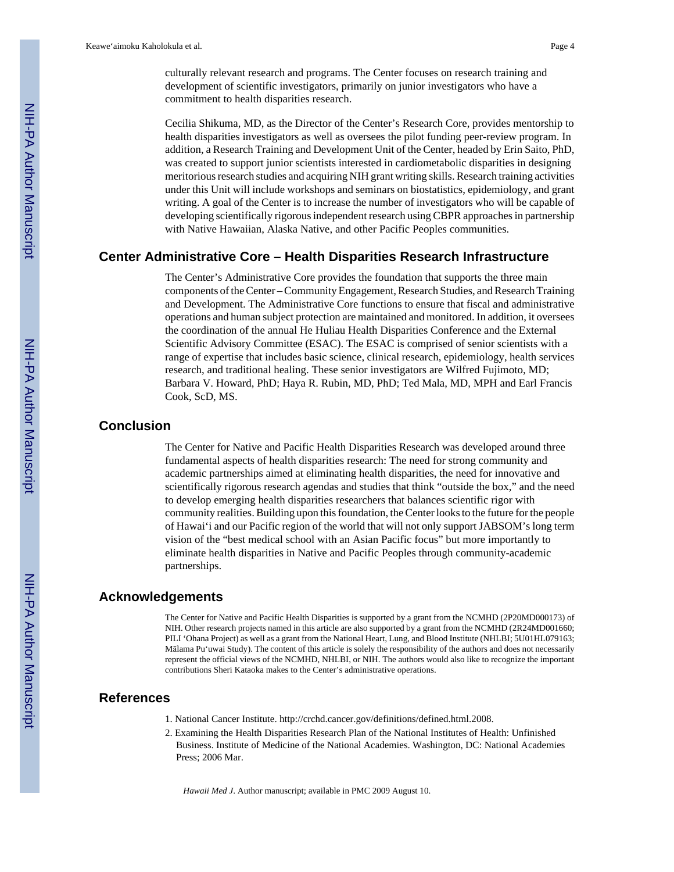Cecilia Shikuma, MD, as the Director of the Center's Research Core, provides mentorship to health disparities investigators as well as oversees the pilot funding peer-review program. In addition, a Research Training and Development Unit of the Center, headed by Erin Saito, PhD, was created to support junior scientists interested in cardiometabolic disparities in designing meritorious research studies and acquiring NIH grant writing skills. Research training activities under this Unit will include workshops and seminars on biostatistics, epidemiology, and grant writing. A goal of the Center is to increase the number of investigators who will be capable of developing scientifically rigorous independent research using CBPR approaches in partnership with Native Hawaiian, Alaska Native, and other Pacific Peoples communities.

## **Center Administrative Core – Health Disparities Research Infrastructure**

The Center's Administrative Core provides the foundation that supports the three main components of the Center – Community Engagement, Research Studies, and Research Training and Development. The Administrative Core functions to ensure that fiscal and administrative operations and human subject protection are maintained and monitored. In addition, it oversees the coordination of the annual He Huliau Health Disparities Conference and the External Scientific Advisory Committee (ESAC). The ESAC is comprised of senior scientists with a range of expertise that includes basic science, clinical research, epidemiology, health services research, and traditional healing. These senior investigators are Wilfred Fujimoto, MD; Barbara V. Howard, PhD; Haya R. Rubin, MD, PhD; Ted Mala, MD, MPH and Earl Francis Cook, ScD, MS.

## **Conclusion**

The Center for Native and Pacific Health Disparities Research was developed around three fundamental aspects of health disparities research: The need for strong community and academic partnerships aimed at eliminating health disparities, the need for innovative and scientifically rigorous research agendas and studies that think "outside the box," and the need to develop emerging health disparities researchers that balances scientific rigor with community realities. Building upon this foundation, the Center looks to the future for the people of Hawai'i and our Pacific region of the world that will not only support JABSOM's long term vision of the "best medical school with an Asian Pacific focus" but more importantly to eliminate health disparities in Native and Pacific Peoples through community-academic partnerships.

#### **Acknowledgements**

The Center for Native and Pacific Health Disparities is supported by a grant from the NCMHD (2P20MD000173) of NIH. Other research projects named in this article are also supported by a grant from the NCMHD (2R24MD001660; PILI 'Ohana Project) as well as a grant from the National Heart, Lung, and Blood Institute (NHLBI; 5U01HL079163; Mālama Pu'uwai Study). The content of this article is solely the responsibility of the authors and does not necessarily represent the official views of the NCMHD, NHLBI, or NIH. The authors would also like to recognize the important contributions Sheri Kataoka makes to the Center's administrative operations.

## **References**

- 1. National Cancer Institute. <http://crchd.cancer.gov/definitions/defined.html.2008>.
- 2. Examining the Health Disparities Research Plan of the National Institutes of Health: Unfinished Business. Institute of Medicine of the National Academies. Washington, DC: National Academies Press; 2006 Mar.

*Hawaii Med J*. Author manuscript; available in PMC 2009 August 10.